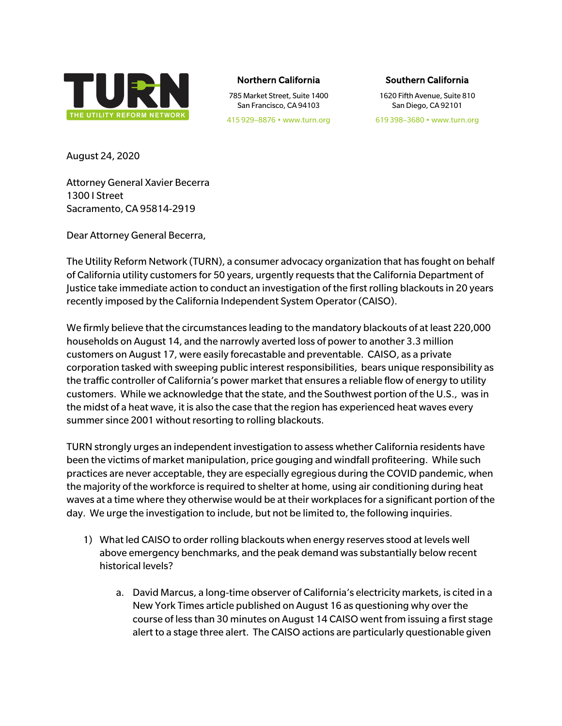

## Northern California

785 Market Street, Suite 1400 San Francisco, CA 94103

## Southern California

1620 Fifth Avenue, Suite 810 San Diego, CA 92101

619 398–3680 • www.turn.org

August 24, 2020

Attorney General Xavier Becerra 1300 I Street Sacramento, CA 95814-2919

Dear Attorney General Becerra,

The Utility Reform Network (TURN), a consumer advocacy organization that has fought on behalf of California utility customers for 50 years, urgently requests that the California Department of Justice take immediate action to conduct an investigation of the first rolling blackouts in 20 years recently imposed by the California Independent System Operator (CAISO).

We firmly believe that the circumstances leading to the mandatory blackouts of at least 220,000 households on August 14, and the narrowly averted loss of power to another 3.3 million customers on August 17, were easily forecastable and preventable. CAISO, as a private corporation tasked with sweeping public interest responsibilities, bears unique responsibility as the traffic controller of California's power market that ensures a reliable flow of energy to utility customers. While we acknowledge that the state, and the Southwest portion of the U.S., was in the midst of a heat wave, it is also the case that the region has experienced heat waves every summer since 2001 without resorting to rolling blackouts.

TURN strongly urges an independent investigation to assess whether California residents have been the victims of market manipulation, price gouging and windfall profiteering. While such practices are never acceptable, they are especially egregious during the COVID pandemic, when the majority of the workforce is required to shelter at home, using air conditioning during heat waves at a time where they otherwise would be at their workplaces for a significant portion of the day. We urge the investigation to include, but not be limited to, the following inquiries.

- 1) What led CAISO to order rolling blackouts when energy reserves stood at levels well above emergency benchmarks, and the peak demand was substantially below recent historical levels?
	- a. David Marcus, a long-time observer of California's electricity markets, is cited in a New York Times article published on August 16 as questioning why over the course of less than 30 minutes on August 14 CAISO went from issuing a first stage alert to a stage three alert. The CAISO actions are particularly questionable given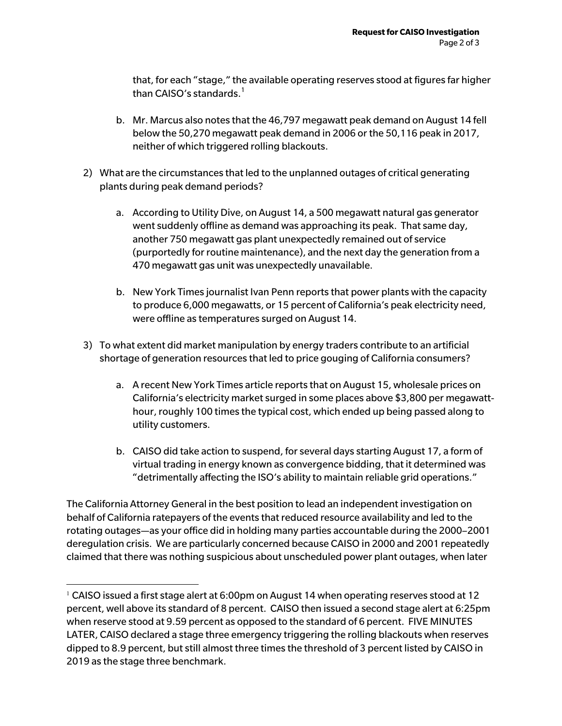that, for each "stage," the available operating reserves stood at figures far higher than CAISO's standards. $<sup>1</sup>$ </sup>

- b. Mr. Marcus also notes that the 46,797 megawatt peak demand on August 14 fell below the 50,270 megawatt peak demand in 2006 or the 50,116 peak in 2017, neither of which triggered rolling blackouts.
- 2) What are the circumstances that led to the unplanned outages of critical generating plants during peak demand periods?
	- a. According to Utility Dive, on August 14, a 500 megawatt natural gas generator went suddenly offline as demand was approaching its peak. That same day, another 750 megawatt gas plant unexpectedly remained out of service (purportedly for routine maintenance), and the next day the generation from a 470 megawatt gas unit was unexpectedly unavailable.
	- b. New York Times journalist Ivan Penn reports that power plants with the capacity to produce 6,000 megawatts, or 15 percent of California's peak electricity need, were offline as temperatures surged on August 14.
- 3) To what extent did market manipulation by energy traders contribute to an artificial shortage of generation resources that led to price gouging of California consumers?
	- a. A recent New York Times article reports that on August 15, wholesale prices on California's electricity market surged in some places above \$3,800 per megawatthour, roughly 100 times the typical cost, which ended up being passed along to utility customers.
	- b. CAISO did take action to suspend, for several days starting August 17, a form of virtual trading in energy known as convergence bidding, that it determined was "detrimentally affecting the ISO's ability to maintain reliable grid operations."

The California Attorney General in the best position to lead an independent investigation on behalf of California ratepayers of the events that reduced resource availability and led to the rotating outages—as your office did in holding many parties accountable during the 2000–2001 deregulation crisis. We are particularly concerned because CAISO in 2000 and 2001 repeatedly claimed that there was nothing suspicious about unscheduled power plant outages, when later

 $1$  CAISO issued a first stage alert at 6:00pm on August 14 when operating reserves stood at 12 percent, well above its standard of 8 percent. CAISO then issued a second stage alert at 6:25pm when reserve stood at 9.59 percent as opposed to the standard of 6 percent. FIVE MINUTES LATER, CAISO declared a stage three emergency triggering the rolling blackouts when reserves dipped to 8.9 percent, but still almost three times the threshold of 3 percent listed by CAISO in 2019 as the stage three benchmark.